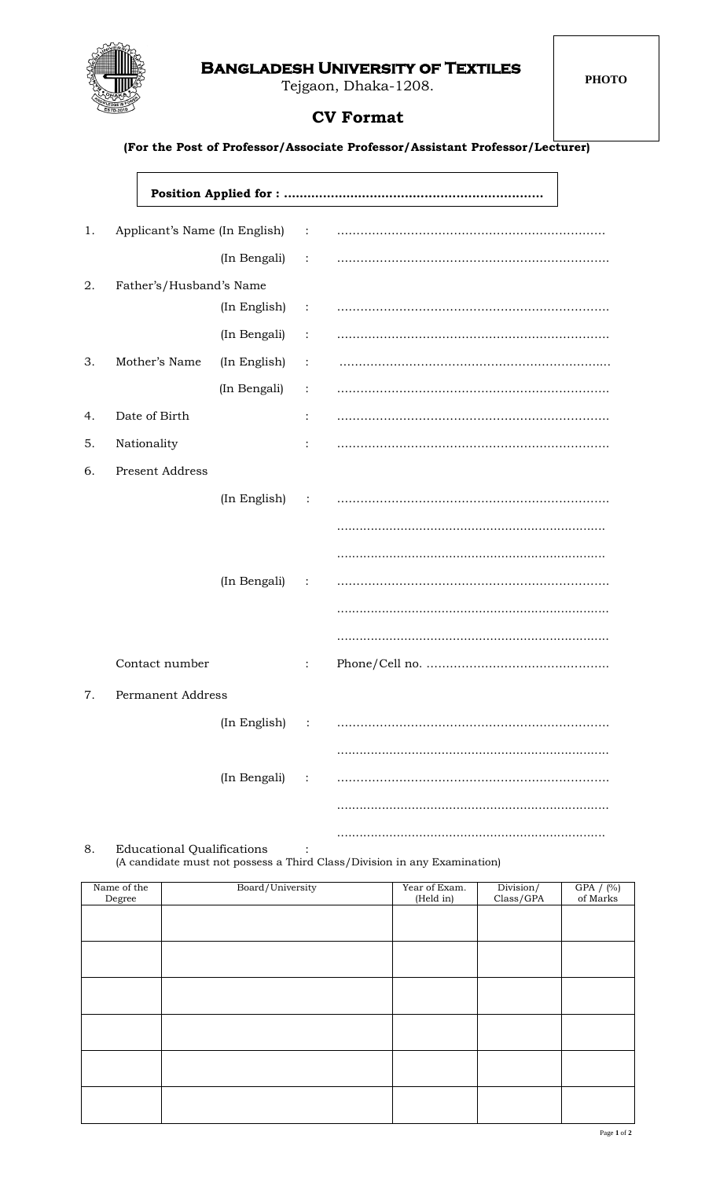## **Bangladesh University of Textiles**

Tejgaon, Dhaka-1208.



## **CV Format**

 **(For the Post of Professor/Associate Professor/Assistant Professor/Lecturer)**

| 1. | Applicant's Name (In English) : |                |                |  |
|----|---------------------------------|----------------|----------------|--|
|    |                                 | (In Bengali) : |                |  |
| 2. | Father's/Husband's Name         |                |                |  |
|    |                                 |                |                |  |
|    |                                 | (In Bengali)   | $\ddot{\cdot}$ |  |
| 3. | Mother's Name                   | (In English)   | $\ddot{\cdot}$ |  |
|    |                                 | (In Bengali)   | $\sim$ 1       |  |
| 4. | Date of Birth                   |                | $\ddot{\cdot}$ |  |
| 5. | Nationality                     |                | $\ddot{\cdot}$ |  |
| 6. | <b>Present Address</b>          |                |                |  |
|    |                                 | (In English) : |                |  |
|    |                                 |                |                |  |
|    |                                 |                |                |  |
|    |                                 | (In Bengali)   | $\sim 10$      |  |
|    |                                 |                |                |  |
|    |                                 |                |                |  |
|    | Contact number                  |                | $\ddot{\cdot}$ |  |
| 7. | Permanent Address               |                |                |  |
|    |                                 | (In English)   |                |  |
|    |                                 |                |                |  |
|    |                                 | (In Bengali)   | $\ddot{\cdot}$ |  |
|    |                                 |                |                |  |
|    |                                 |                |                |  |

8. Educational Qualifications : (A candidate must not possess a Third Class/Division in any Examination)

| Name of the<br>Degree | Board/University | Year of Exam.<br>(Held in) | Division/<br>Class/GPA | GPA $/$ (%) of Marks |
|-----------------------|------------------|----------------------------|------------------------|----------------------|
|                       |                  |                            |                        |                      |
|                       |                  |                            |                        |                      |
|                       |                  |                            |                        |                      |
|                       |                  |                            |                        |                      |
|                       |                  |                            |                        |                      |
|                       |                  |                            |                        |                      |